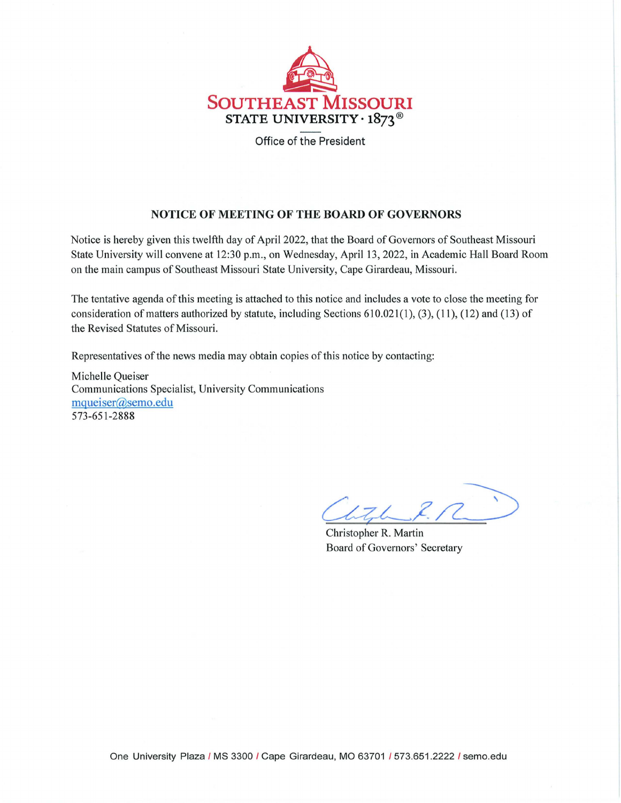

Office of the President

### **NOTICE OF MEETING OF THE BOARD OF GOVERNORS**

Notice is hereby given this twelfth day of April 2022, that the Board of Governors of Southeast Missouri State University will convene at 12:30 p.m., on Wednesday, April 13, 2022, in Academic Hall Board Room on the main campus of Southeast Missouri State University, Cape Girardeau, Missouri.

The tentative agenda of this meeting is attached to this notice and includes a vote to close the meeting for consideration of matters authorized by statute, including Sections 610.021(1), (3), (11), (12) and (13) of the Revised Statutes of Missouri.

Representatives of the news media may obtain copies of this notice by contacting:

Michelle Queiser Communications Specialist, University Communications [mqueiser@semo.edu](mailto:mqueiser@semo.edu) 573-651-2888

 $176$ 

Christopher R. Martin Board of Governors' Secretary